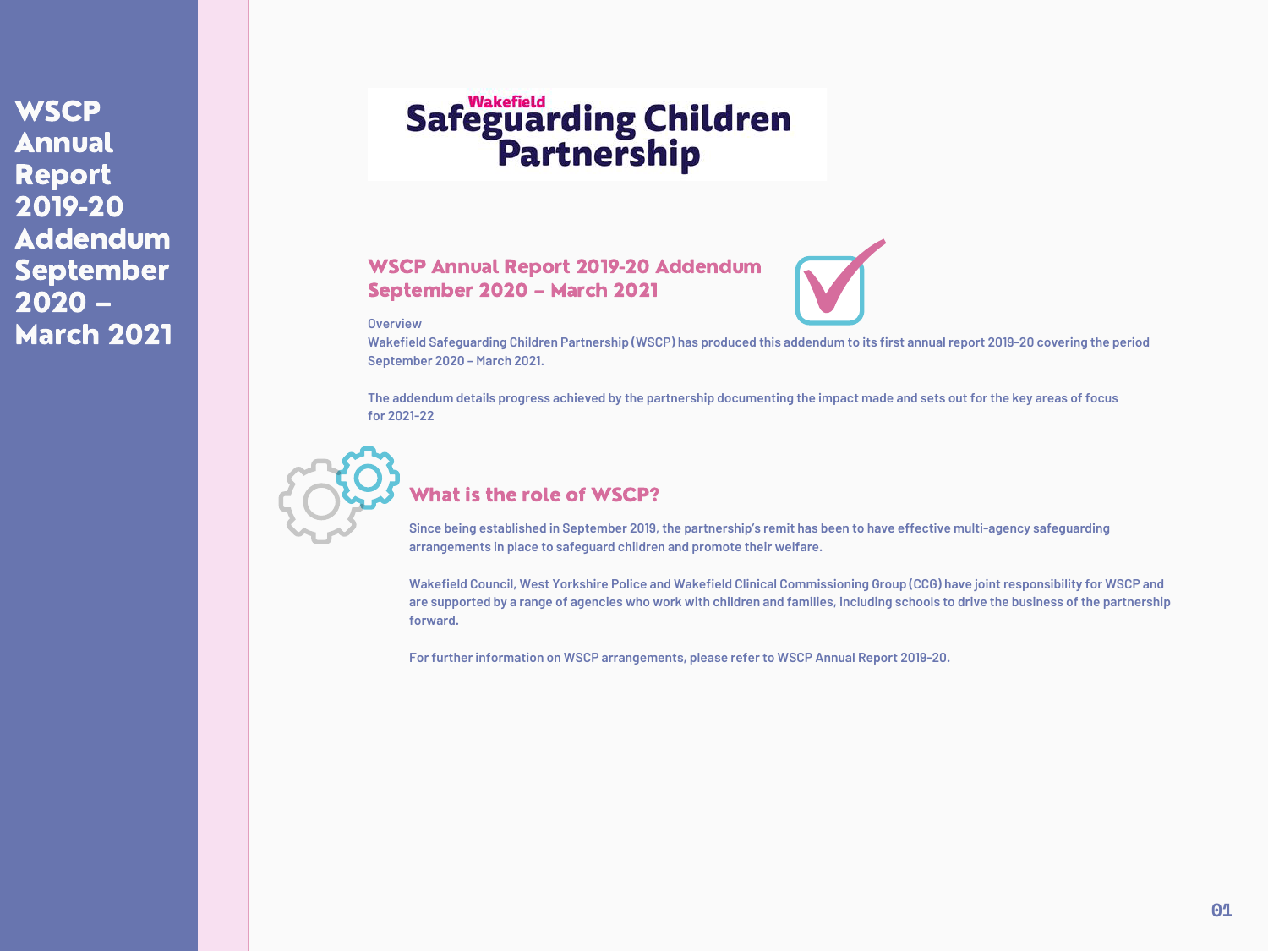## WSCP Annual Report 2019-20 Addendum September 2020 – March 2021

**Overview**

Wakefield Safeguarding Children Partnership (WSCP) has produced this addendum to its first annual report 2019-20 covering the period **September 2020 – March 2021.**

The addendum details progress achieved by the partnership documenting the impact made and sets out for the key areas of focus **for 2021-22**

Since being established in September 2019, the partnership's remit has been to have effective multi-agency safeguarding **arrangements in place to safeguard children and promote their welfare.**

## What is the role of WSCP?

Wakefield Council, West Yorkshire Police and Wakefield Clinical Commissioning Group (CCG) have joint responsibility for WSCP and are supported by a range of agencies who work with children and families, including schools to drive the business of the partnership **forward.**

**For further information on WSCP arrangements, please refer to WSCP Annual Report [2019-20.](https://www.wakefieldscp.org.uk/?s=annual+report)**



WSCP Annual Report 2019-20 Addendum September 2020 – March 2021



# Safeguarding Children<br>Partnership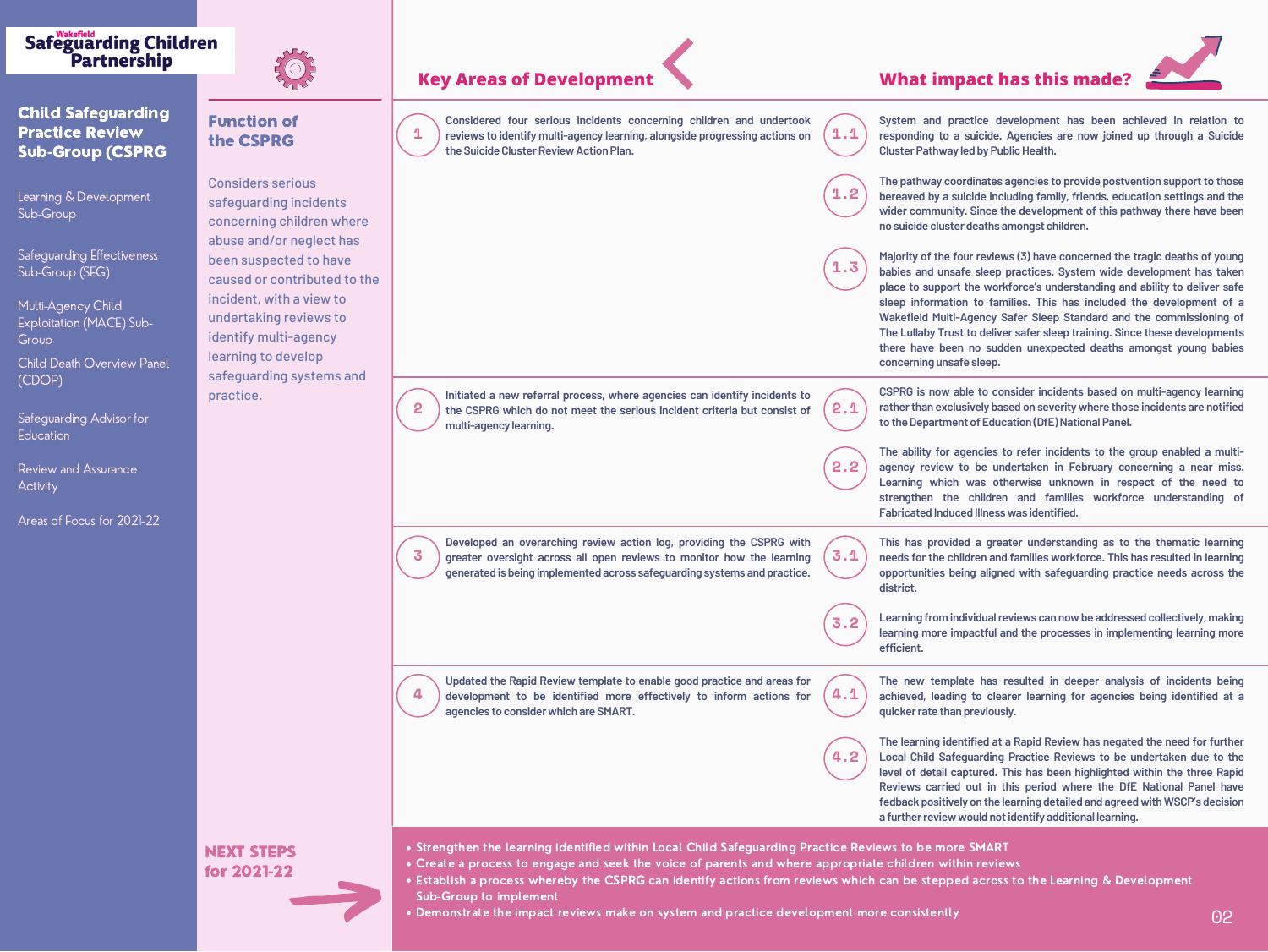## Function of the CSPRG

| nts       |
|-----------|
| where     |
| t has:    |
| ave       |
| ed to the |
| ' to      |
| ; to      |
| y         |



Considers serious safeguarding inciden concerning children abuse and/or neglect been suspected to ha caused or contribute incident, with a view undertaking reviews identify multi-agency learning to develop safeguarding systems and practice.

Multi-Agency Child Exploitation (MACE) Sub-Group

**Child Death Overview Panel** (CDOP)

Safeguarding Advisor for **Education** 

## **Key Areas of Development**



## **Safeguarding Children** Partnership



## Child Safeguarding Practice Review Sub-Group (CSPRG

**System and practice development has been achieved in relation to responding to a suicide. Agencies are now joined up through a Suicide Public Health.** 

**tes agencies to provide postvention support to those bereaved by a suicide including family, friends, education settings and the ce the development of this pathway there have been no show <b>children.** 

Learning & Development Sub-Group

Safeguarding Effectiveness Sub-Group (SEG)

## **What impact has this made?**

**Majority of the four reviews (3) have concerned the tragic deaths of young Babyies has** *a* **<b>biency** *a**bostem* **wide development** has taken **place to support the workforce's understanding and ability to deliver safe sleep information to families. This has included the development of a Ruy Safer Sleep Standard and the commissioning of The Lullaby Trust to deliver safer sleep training. Since these developments there have been no sudden unexpected deaths amongst young babies**

**consider incidents based on multi-agency learning ratherthan exclusively based on severity where those incidents are notified**  $\Xi$ ducation (DfE) National Panel.

**es to refer incidents to the group enabled a multiundertaken in February concerning a near miss. Learning which was otherwise unknown in respect of the need to strengthen the children and families workforce understanding of iess was identified.** 

**The new template has resulted in deeper analysis of incidents being achieved, leading to clearer learning for agencies being identified at a iously.** 

**l** at a Rapid Review has negated the need for further **Local Child Safeguarding Practice Reviews to be undertaken due to the led.** This has been highlighted within the three Rapid **Reviews carried out in this period where the DfE National Panel have** *f***: he learning detailed and agreed with WSCP's decision l** not identify additional learning.

|   | Considered four serious incidents concerning children and undertook<br>Considered four serious incidents concerning children and undertook $(1.1)$ System and practice deviews to identify multi-agency learning, alongside progressing actions on $(1.1)$ responding to a suicide.<br>the Suicide Cluster Review Action Plan. |                             | System and practice d<br><b>Cluster Pathway led by Pu</b>                                                                                                                                                                            |
|---|--------------------------------------------------------------------------------------------------------------------------------------------------------------------------------------------------------------------------------------------------------------------------------------------------------------------------------|-----------------------------|--------------------------------------------------------------------------------------------------------------------------------------------------------------------------------------------------------------------------------------|
|   |                                                                                                                                                                                                                                                                                                                                |                             | The pathway coordinates<br>$(1.2)$ bereaved by a suicide inc<br>wider community. Since<br>no suicide cluster deaths                                                                                                                  |
|   |                                                                                                                                                                                                                                                                                                                                | $\blacksquare$ . $\bigcirc$ | Majority of the four reviety<br>babies and unsafe sleep<br>place to support the wor<br>sleep information to far<br><b>Wakefield Multi-Agency</b><br>The Lullaby Trust to deliv<br>there have been no suc<br>concerning unsafe sleep. |
| 2 | Initiated a new referral process, where agencies can identify incidents to<br>the CSPRG which do not meet the serious incident criteria but consist of<br>multi-agency learning.                                                                                                                                               | 2.1                         | <b>CSPRG</b> is now able to co<br>rather than exclusively ba<br>to the Department of Edu                                                                                                                                             |
|   |                                                                                                                                                                                                                                                                                                                                | 2.2                         | The ability for agencies<br>agency review to be ur<br>Learning which was of<br>strengthen the childre<br><b>Fabricated Induced Illnes:</b>                                                                                           |
| 3 | Developed an overarching review action log, providing the CSPRG with<br>greater oversight across all open reviews to monitor how the learning<br>generated is being implemented across safeguarding systems and practice.                                                                                                      | 3.1                         | This has provided a gre<br>needs for the children an<br>opportunities being align<br>district.                                                                                                                                       |
|   |                                                                                                                                                                                                                                                                                                                                | 3.2                         | <b>Learning from individual r</b><br>learning more impactful a<br>efficient.                                                                                                                                                         |
| 4 | Updated the Rapid Review template to enable good practice and areas for<br>Updated the Rapid Review template to enable good practice and areas for $(4.1)$ The new template has development to be identified more effectively to inform actions for $(4.1)$ achieved, leading to cle<br>agencies to consider which are SMART.  |                             | The new template has<br>quicker rate than previous                                                                                                                                                                                   |
|   |                                                                                                                                                                                                                                                                                                                                |                             | The learning identified at<br>4.2   Local Child Safeguarding<br>level of detail captured.<br>Reviews carried out in<br>fedback positively on the<br>a further review would no                                                        |

Review and Assurance **Activity** 

> **This has provided a greater understanding as to the thematic learning needs for the children and families workforce. This has resulted in learning opportunities being aligned with safeguarding practice needs across the**

> **Learning from individualreviews can nowbe addressed collectively, making learning more impactful and the processes in implementing learning more**



Strengthen the learning identified within Local Child Safeguarding Practice Reviews to be more SMART Create a process to engage and seek the voice of parents and where appropriate children within reviews Establish a process whereby the CSPRG can identify actions from reviews which can be stepped across to the Learning & Development

- 
- 
- Sub-Group to implement
- 



Demonstrate the impact reviews make on system and practice development more consistently



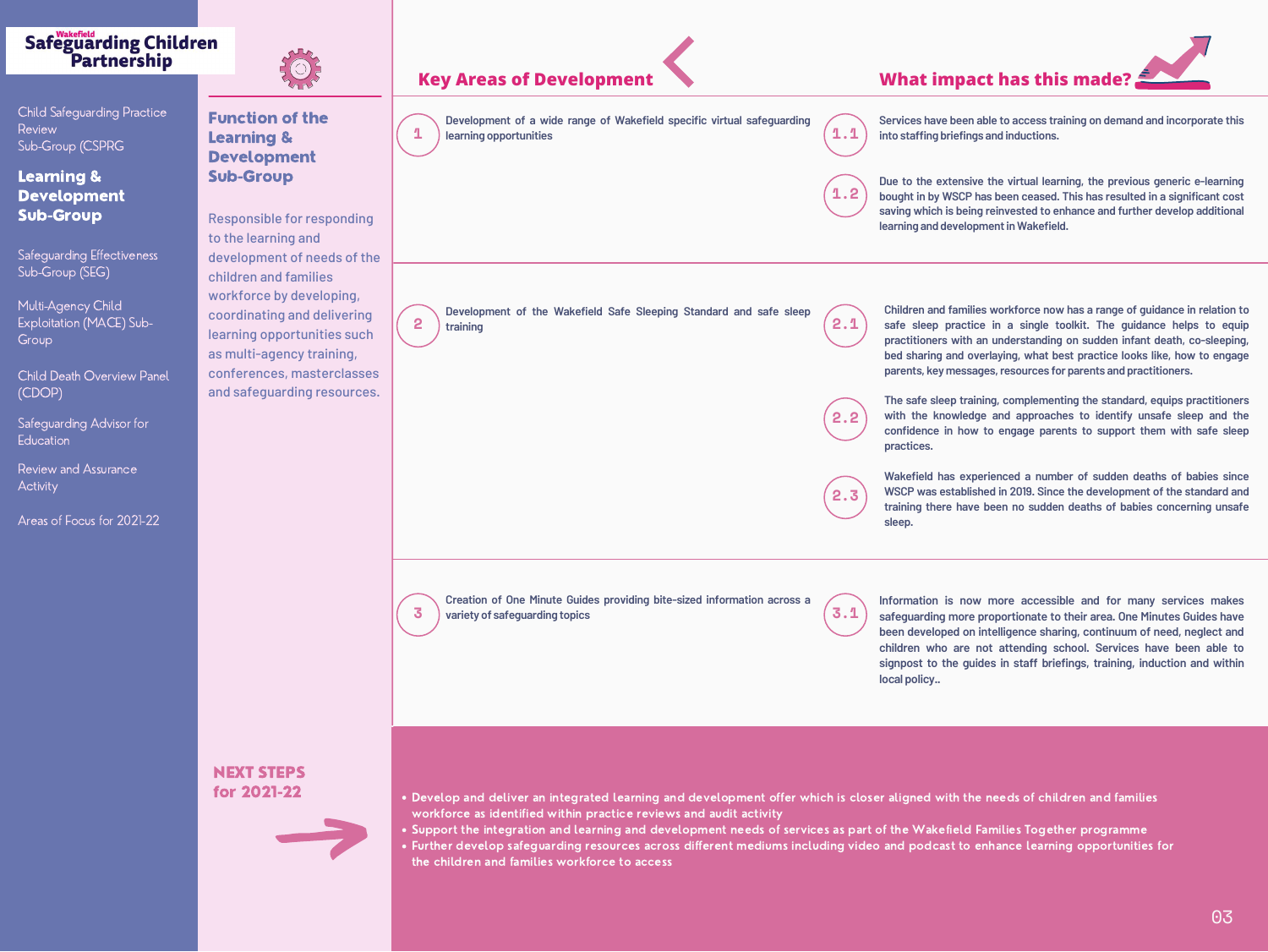Function of the Learning & Development Sub-Group

# **1 1.1 learning opportunities 2 2.1 Key Areas of Development What impact has this made? Development of a wide range of Wakefield Development of the Wakefield Safe Sleepi training Creation of One Minute Guides providing bite**

Responsible for responding to the learning and development of needs of the children and families workforce by developing, coordinating and delivering learning opportunities such as multi-agency training, conferences, masterclasses and safeguarding resources.

**Multi-Agency Child** Exploitation (MACE) Sub-Group

| specific virtual safeguarding |       | <b>Services have been abl</b><br>$\left( 1\cdot 1\right)$ into staffing briefings a                   |
|-------------------------------|-------|-------------------------------------------------------------------------------------------------------|
|                               | (1.2) | Due to the extensive t<br>bought in by WSCP has<br>saving which is being re<br>learning and developme |
| ing Standard and safe sleep   |       | <b>Children and families</b>                                                                          |

## **Safeguarding Children** Partnership



Child Safeguarding Practice **Review** Sub-Group (CSPRG

## Learning & Development Sub-Group

**le to access training on demand and incorporate this into staffing briefings and inductions.**

**Due to the extensive the virtual learning, the previous generic e-learning i** been ceased. This has resulted in a significant cost **saving which is being reinvested to enhance and further develop additional lent in Wakefield.** 

Safeguarding Effectiveness Sub-Group (SEG)

Child Death Overview Panel (CDOP)

Safeguarding Advisor for **Education** 

**Children and families workforce now has a range of guidance in relation to safe sleep practice in a single toolkit. The guidance helps to equip practitioners with an understanding on sudden infant death, co-sleeping, bed sharing and overlaying, what best practice looks like, how to engage parents, key messages,resources for parents and practitioners.**

Review and Assurance **Activity** 

| $\blacktriangle$<br>training                                                                                   | $\epsilon$ . $\pm$ | sare sleep practice i<br>practitioners with an u<br>bed sharing and overla<br>parents, key messages |
|----------------------------------------------------------------------------------------------------------------|--------------------|-----------------------------------------------------------------------------------------------------|
|                                                                                                                | 2.2                | The safe sleep training<br>with the knowledge a<br>confidence in how to<br>practices.               |
|                                                                                                                | 2.3                | <b>Wakefield has experie</b><br><b>WSCP was established</b><br>training there have be<br>sleep.     |
| Creation of One Minute Guides providing bite-sized information across a<br>3<br>variety of safeguarding topics | 3.1                | Information is now n<br>safeguarding more pro<br>been developed on inte<br>children who are not     |

**The safe sleep training, complementing the standard, equips practitioners with the knowledge and approaches to identify unsafe sleep and the confidence in how to engage parents to support them with safe sleep**

. Develop and deliver an integrated learning and development offer which is closer aligned with the needs of children and families

**Wakefield has experienced a number of sudden deaths of babies since WSCP was established in 2019. Since the development of the standard and training there have been no sudden deaths of babies concerning unsafe**

**Information is now more accessible and for many services makes safeguarding more proportionate to their area. One Minutes Guides have kelligence sharing, continuum of need, neglect and children who are not attending school. Services have been able to signpost to the guides in staff briefings, training, induction and within**

**local policy..**

- 
- workforce as identified within practice reviews and audit activity
- 
- the children and families workforce to access



Support the integration and learning and development needs of services as part of the Wakefield Families Together programme Further develop safeguarding resources across different mediums including video and podcast to enhance learning opportunities for



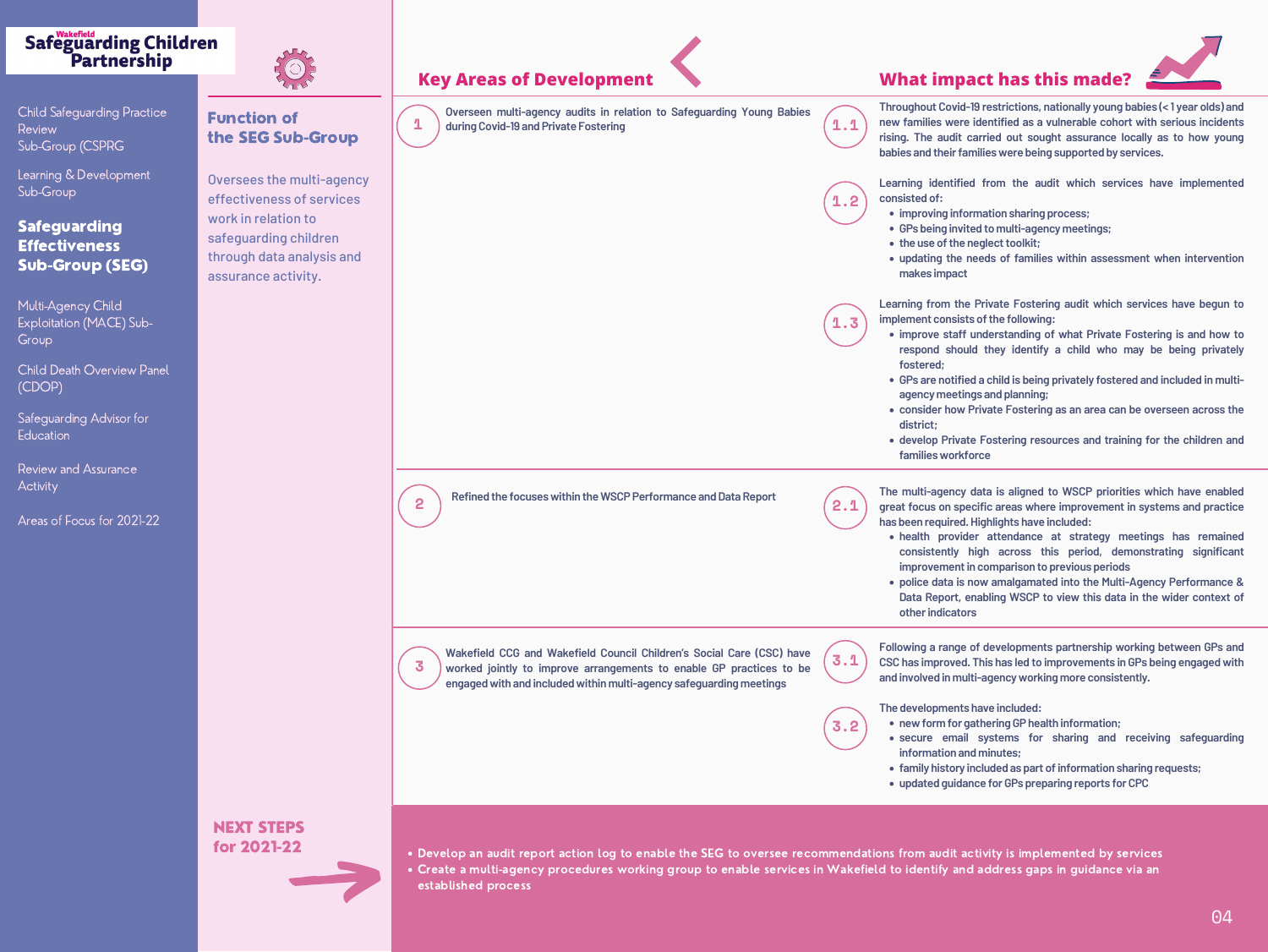## Function of the SEG Sub-Group

Oversees the multi-agen effectiveness of service work in relation to safeguarding children through data analysis an assurance activity.

Multi-Agency Child Exploitation (MACE) Sub-Group





**Child Death Overview Panel** (CDOP)

Safeguarding Advisor for **Education** 

## **Safeguarding Children** Partnership



Child Safeguarding Practice Review Sub-Group (CSPRG

Learning & Development Sub-Group

## Safeguarding **Effectiveness** Sub-Group (SEG)

## **Key Areas of Development What impact has this made?**

- **ition sharing process;**
- **:o multi-agency meetings;**
- **lect toolkit;**
- **ds of families within assessment when intervention**
- **ivate Fostering audit which services have begun to indepth consists c**
- **iderstanding of what Private Fostering is and how to hey identify a child who may be being privately**
- **child is being privately fostered and included in multiagency meetings and planning;**
- **consider how Private Fostering as an area can be overseen across the**

**despecise** *Fostering* **resources** and training for the children and

- **The multi-agency data is aligned to WSCP priorities which have enabled great focus on specific areas where improvement in systems and practice**  $h$  **hights have included:**
- **health provider attendance at strategy meetings has remained consistently high across this period, demonstrating significant imparison to previous periods**
- **police data is now amalgamated into the Multi-Agency Performance & Reports Designalision <b>Propelision Context of**

| INGY AI GUS VI DGVGIUPINGIIG                                                                                                                                                                                             |     | <b>THE BELLET STATE</b>                                                                                                                                                                                                                                             |
|--------------------------------------------------------------------------------------------------------------------------------------------------------------------------------------------------------------------------|-----|---------------------------------------------------------------------------------------------------------------------------------------------------------------------------------------------------------------------------------------------------------------------|
| Overseen multi-agency audits in relation to Safeguarding Young Babies<br>during Covid-19 and Private Fostering                                                                                                           | 1.1 | <b>Throughout Covid-19 re</b><br>new families were iden<br>rising. The audit carrie<br>babies and their families                                                                                                                                                    |
|                                                                                                                                                                                                                          | 1.2 | <b>Learning identified fro</b><br>consisted of:<br>• improving informat<br>• GPs being invited to<br>. the use of the negle<br>• updating the needs<br>makes impact                                                                                                 |
|                                                                                                                                                                                                                          | 1.3 | <b>Learning from the Priv</b><br>implement consists of t<br>· improve staff unde<br>respond should th<br>fostered;<br>• GPs are notified a c<br>agency meetings ar<br><b>• consider how Priva</b><br>district;<br>· develop Private Fo<br><b>families workforce</b> |
| <b>Refined the focuses within the WSCP Performance and Data Report</b><br>2                                                                                                                                              | 2.1 | The multi-agency data<br>great focus on specific<br>has been required. High<br>· health provider a<br>consistently high<br>improvement in cor<br>· police data is now<br>Data Report, enabli<br>other indicators                                                    |
| Wakefield CCG and Wakefield Council Children's Social Care (CSC) have<br>3<br>worked jointly to improve arrangements to enable GP practices to be<br>engaged with and included within multi-agency safeguarding meetings | 3.1 | <b>Following a range of de</b><br><b>CSC has improved. This</b><br>and involved in multi-ag                                                                                                                                                                         |
|                                                                                                                                                                                                                          | 3.2 | The developments have<br>• new form for gathe<br>· secure email sys<br>information and mir<br>• family history includ<br>· updated quidance f                                                                                                                       |

- **re** included:
- *<u>ering GP health information;*</u>
- **secure email systems for sharing and receiving safeguarding inutes;**
- **family history included as part ofinformation sharing requests;**
- **updated guidance forGPs preparing reports forCPC**

**Following a range of developments partnership working between GPs and CSC has improved. This has led to improvements in GPs being engaged with <u>igency working more consistently.</u>** 

**Throughout Covid-19 restrictions, nationally young babies (< 1 year olds) and** *<u>kntified as a vulnerable cohort with serious incidents*</u> **rising. The audit carried out sought assurance locally as to how young babies and theirfamilieswere being supported by services.**

**Learning identified from the audit which services have implemented**

Review and Assurance **Activity** 

Develop an audit report action log to enable the SEG to oversee recommendations from audit activity is implemented by services Create a multi-agency procedures working group to enable services in Wakefield to identify and address gaps in guidance via an



established process





|           | <b>Key Areas of Development</b>                                                                                               |     |
|-----------|-------------------------------------------------------------------------------------------------------------------------------|-----|
|           | Overseen multi-agency audits in relation to Safeguarding Young Babies<br>$\mathbf 1$<br>during Covid-19 and Private Fostering |     |
| ncy<br>es |                                                                                                                               | 1.2 |
| Id        |                                                                                                                               |     |
|           |                                                                                                                               | 1.3 |
|           |                                                                                                                               |     |

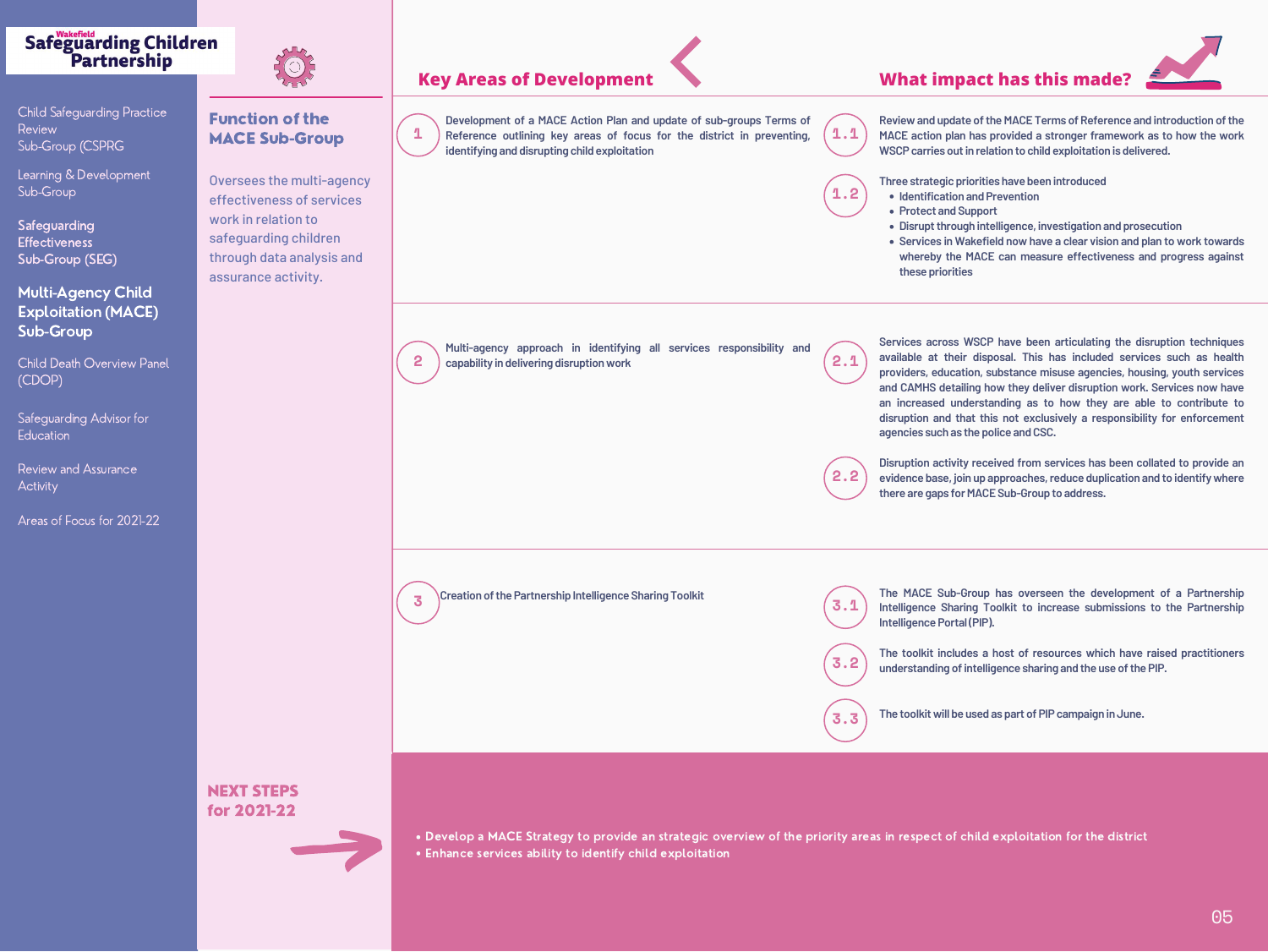## Function of the MACE Sub-Group

Oversees the multi-age effectiveness of servic work in relation to safeguarding children through data analysis assurance activity.

**Safeguarding Effectiveness** Sub-Group (SEG) **1.2**

**Child Death Overview Panel** (CDOP)

Safeguarding Advisor for **Education** 

Review and Assurance **Activity** 

## Safeguarding Children<br>Partnership



Child Safeguarding Practice Review Sub-Group (CSPRG

Learning & Development Sub-Group

## Multi-Agency Child Exploitation (MACE) Sub-Group

- **Identification and Prevention**
- **Protect and Support**
- **Disruptthrough intelligence, investigation and prosecution**
- **these priorities**



**Review and update of the MACE Terms of Reference and introduction of the MACE action plan has provided a stronger framework as to how the work WSCPcarries outin relation to child exploitation is delivered.**

|             | <b>Key Areas of Development</b>                                                                                                                                                                                         |                 |
|-------------|-------------------------------------------------------------------------------------------------------------------------------------------------------------------------------------------------------------------------|-----------------|
|             | Development of a MACE Action Plan and update of sub-groups Terms of<br>$\boldsymbol{\varPi}$<br>Reference outlining key areas of focus for the district in preventing,<br>identifying and disrupting child exploitation | 1.1             |
| ency<br>ces |                                                                                                                                                                                                                         | 1.2             |
| and         |                                                                                                                                                                                                                         |                 |
|             | Multi-agency approach in identifying all services responsibility and<br>capability indelivering disruption work<br>2                                                                                                    | $\sqrt{ }$<br>2 |
|             |                                                                                                                                                                                                                         | 2.2             |
|             | <b>Creation of the Partnership Intelligence Sharing Toolkit</b><br>$\overline{\phantom{a}}$                                                                                                                             |                 |
|             |                                                                                                                                                                                                                         |                 |
|             | . Develop a MACE Strategy to provide an strategic overview of the priority ar                                                                                                                                           |                 |

- **Three strategic priorities have been introduced**
- **Services in Wakefield now have a clear vision and plan to work towards**
- **whereby the MACE can measure effectiveness and progress against**

**services** responsibility and **Services across WSCP have been articulating the disruption techniques available at their disposal. This has included services such as health providers, education, substance misuse agencies, housing, youth services and CAMHS detailing how they deliver disruption work. Services now have an increased understanding as to how they are able to contribute to disruption and that this not exclusively a responsibility for enforcement agencies such as the police andCSC. Disruption activity received from services has been collated to provide an evidence base, join up approaches,reduce duplication and to identifywhere there are gaps forMACESub-Group to address. 2.2**



**Creative Creations (MACE** Sub-Group has overseen the development of a Partnership<br>Intelligence Sharing Toolkit to increase submissions to the Partnership **Intelligence Sharing Toolkit to increase submissions to the Partnership Intelligence Portal (PIP).** 

> **The toolkit includes a host of resources which have raised practitioners understanding ofintelligence sharing and the use ofthePIP.**

**The toolkitwill be used as part ofPIPcampaign inJune.**

strategic overview of the priority areas in respect of child exploitation for the district

Enhance services ability to identify child exploitation



## **pdate of sub-groups Terms of**

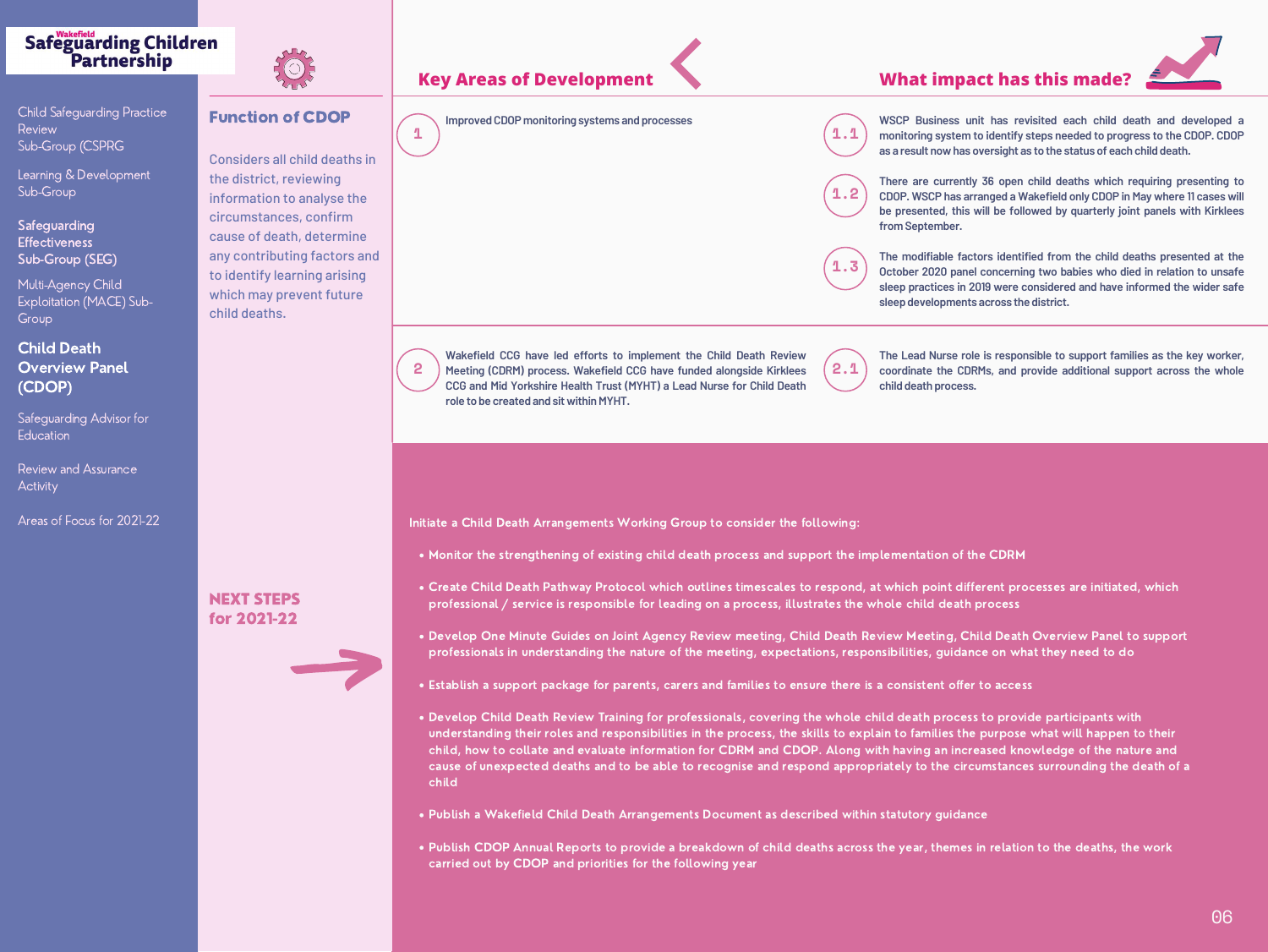## Function of CDOP

Considers all child deaths in the district, reviewing information to analyse the circumstances, confirm cause of death, determine any contributing factors and to identify learning arising which may prevent future child deaths.

## Safeguarding Children<br>Partnership



**Child Safeguarding Practice Review** Sub-Group (CSPRG

**Safeguarding Effectiveness** Sub-Group (SEG)

**Multi-Agency Child** Exploitation (MACE) Sub-Group

Safeguarding Advisor for **Education** 

Learning & Development Sub-Group

## Child Death Overview Panel (CDOP)









**monitoring system to identify steps needed to progress to the CDOP. CDOP as a result nowhas oversight as to the status of each child death.**





**2 2.1 Meeting (CDRM) process. Wakefield CCG have funded alongside Kirklees Wakefield CCG have led efforts to implement the Child Death Review CCG and Mid Yorkshire Health Trust (MYHT) a Lead Nurse for Child Death role to be created and sitwithinMYHT.**

**There are currently 36 open child deaths which requiring presenting to CDOP. WSCP has arranged a Wakefield only CDOP in May where 11 cases will be presented, this will be followed by quarterly joint panels with Kirklees**

**The modifiable factors identified from the child deaths presented at the October 2020 panel concerning two babies who died in relation to unsafe sleep practices in 2019 were considered and have informed the wider safe**

**The Lead Nurse role is responsible to support families as the key worker, coordinate the CDRMs, and provide additional support across the whole child death process.**

. Monitor the strengthening of existing child death process and support the implementation of the CDRM

Review and Assurance **Activity** 

Create Child Death Pathway Protocol which outlines timescales to respond, at which point different processes are initiated, which professional / service is responsible for leading on a process, illustrates the whole child death process

Develop One Minute Guides on Joint Agency Review meeting, Child Death Review Meeting, Child Death Overview Panel to support professionals in understanding the nature of the meeting, expectations, responsibilities, guidance on what they need to do

Establish a support package for parents, carers and families to ensure there is a consistent offer to access

Develop Child Death Review Training for professionals, covering the whole child death process to provide participants with understanding their roles and responsibilities in the process, the skills to explain to families the purpose what will happen to their child, how to collate and evaluate information for CDRM and CDOP. Along with having an increased knowledge of the nature and cause of unexpected deaths and to be able to recognise and respond appropriately to the circumstances surrounding the death of a

Publish a Wakefield Child Death Arrangements Document as described within statutory guidance

- 
- 
- 
- 
- child
- 
- carried out by CDOP and priorities for the following year



Publish CDOP Annual Reports to provide a breakdown of child deaths across the year, themes in relation to the deaths, the work

Initiate a Child Death Arrangements Working Group to consider the following:

### NEXT STEPS for 2021-22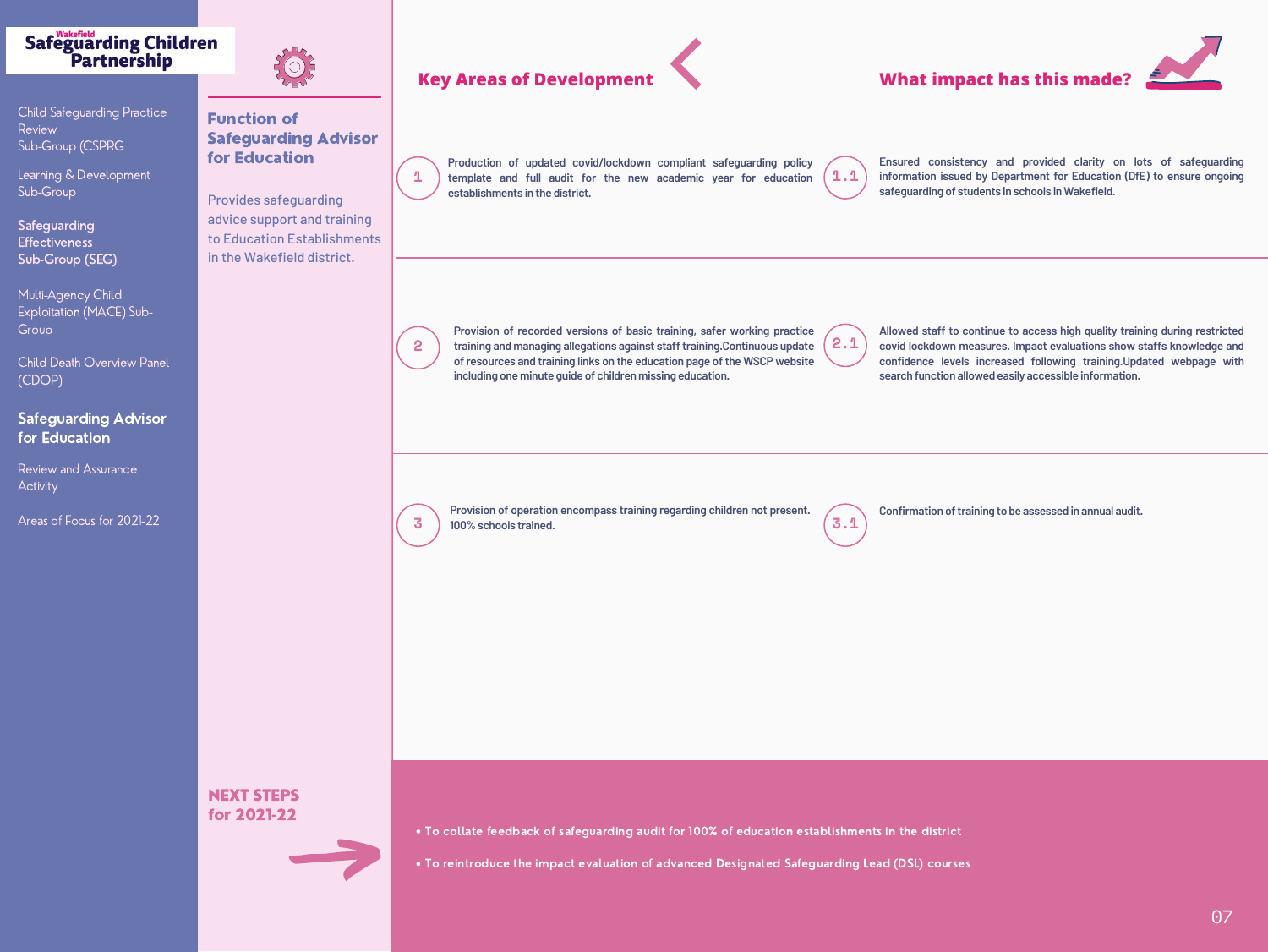Function of Safeguarding Advisor for Education

Provides safeguarding advice support and training to Education Establishments in the Wakefield district.

## **Safeguarding Children** Partnership



Child Safeguarding Practice Review Sub-Group (CSPRG

Review and Assurance **Activity** 

Learning & Development Sub-Group

Safeguarding **Effectiveness** Sub-Group (SEG)

Multi-Agency Child Exploitation (MACE) Sub-**Group** 

Child Death Overview Panel (CDOP)

## Safeguarding Advisor for Education

Areas of Focus for 2021-22

**Ensured consistency and provided clarity on lots of safeguarding information issued by Department for Education (DfE) to ensure ongoing**





**Allowed staff to continue to access high quality training during restricted covid lockdown measures. Impact evaluations show staffs knowledge and confidence levels increased following training.Updated webpage with**